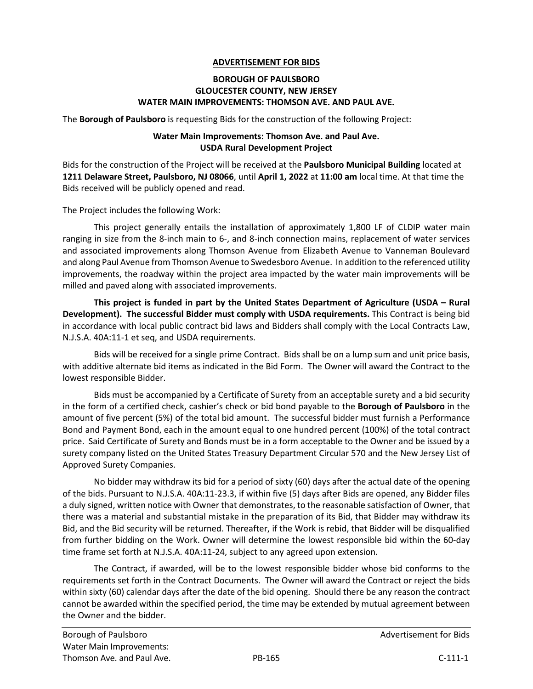## **ADVERTISEMENT FOR BIDS**

## **BOROUGH OF PAULSBORO GLOUCESTER COUNTY, NEW JERSEY WATER MAIN IMPROVEMENTS: THOMSON AVE. AND PAUL AVE.**

The **Borough of Paulsboro** is requesting Bids for the construction of the following Project:

## **Water Main Improvements: Thomson Ave. and Paul Ave. USDA Rural Development Project**

Bids for the construction of the Project will be received at the **Paulsboro Municipal Building** located at **1211 Delaware Street, Paulsboro, NJ 08066**, until **April 1, 2022** at **11:00 am** local time. At that time the Bids received will be publicly opened and read.

The Project includes the following Work:

This project generally entails the installation of approximately 1,800 LF of CLDIP water main ranging in size from the 8-inch main to 6-, and 8-inch connection mains, replacement of water services and associated improvements along Thomson Avenue from Elizabeth Avenue to Vanneman Boulevard and along Paul Avenue from Thomson Avenue to Swedesboro Avenue. In addition to the referenced utility improvements, the roadway within the project area impacted by the water main improvements will be milled and paved along with associated improvements.

**This project is funded in part by the United States Department of Agriculture (USDA – Rural Development). The successful Bidder must comply with USDA requirements.** This Contract is being bid in accordance with local public contract bid laws and Bidders shall comply with the Local Contracts Law, N.J.S.A. 40A:11-1 et seq, and USDA requirements.

Bids will be received for a single prime Contract. Bids shall be on a lump sum and unit price basis, with additive alternate bid items as indicated in the Bid Form. The Owner will award the Contract to the lowest responsible Bidder.

Bids must be accompanied by a Certificate of Surety from an acceptable surety and a bid security in the form of a certified check, cashier's check or bid bond payable to the **Borough of Paulsboro** in the amount of five percent (5%) of the total bid amount. The successful bidder must furnish a Performance Bond and Payment Bond, each in the amount equal to one hundred percent (100%) of the total contract price. Said Certificate of Surety and Bonds must be in a form acceptable to the Owner and be issued by a surety company listed on the United States Treasury Department Circular 570 and the New Jersey List of Approved Surety Companies.

No bidder may withdraw its bid for a period of sixty (60) days after the actual date of the opening of the bids. Pursuant to N.J.S.A. 40A:11-23.3, if within five (5) days after Bids are opened, any Bidder files a duly signed, written notice with Owner that demonstrates, to the reasonable satisfaction of Owner, that there was a material and substantial mistake in the preparation of its Bid, that Bidder may withdraw its Bid, and the Bid security will be returned. Thereafter, if the Work is rebid, that Bidder will be disqualified from further bidding on the Work. Owner will determine the lowest responsible bid within the 60-day time frame set forth at N.J.S.A. 40A:11-24, subject to any agreed upon extension.

The Contract, if awarded, will be to the lowest responsible bidder whose bid conforms to the requirements set forth in the Contract Documents. The Owner will award the Contract or reject the bids within sixty (60) calendar days after the date of the bid opening. Should there be any reason the contract cannot be awarded within the specified period, the time may be extended by mutual agreement between the Owner and the bidder.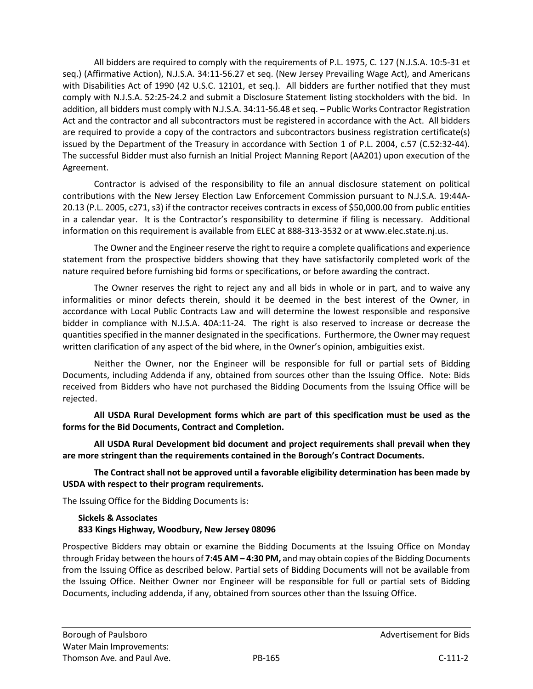All bidders are required to comply with the requirements of P.L. 1975, C. 127 (N.J.S.A. 10:5-31 et seq.) (Affirmative Action), N.J.S.A. 34:11-56.27 et seq. (New Jersey Prevailing Wage Act), and Americans with Disabilities Act of 1990 (42 U.S.C. 12101, et seq.). All bidders are further notified that they must comply with N.J.S.A. 52:25-24.2 and submit a Disclosure Statement listing stockholders with the bid. In addition, all bidders must comply with N.J.S.A. 34:11-56.48 et seq. – Public Works Contractor Registration Act and the contractor and all subcontractors must be registered in accordance with the Act. All bidders are required to provide a copy of the contractors and subcontractors business registration certificate(s) issued by the Department of the Treasury in accordance with Section 1 of P.L. 2004, c.57 (C.52:32-44). The successful Bidder must also furnish an Initial Project Manning Report (AA201) upon execution of the Agreement.

Contractor is advised of the responsibility to file an annual disclosure statement on political contributions with the New Jersey Election Law Enforcement Commission pursuant to N.J.S.A. 19:44A-20.13 (P.L. 2005, c271, s3) if the contractor receives contracts in excess of \$50,000.00 from public entities in a calendar year. It is the Contractor's responsibility to determine if filing is necessary. Additional information on this requirement is available from ELEC at 888-313-3532 or at www.elec.state.nj.us.

The Owner and the Engineer reserve the right to require a complete qualifications and experience statement from the prospective bidders showing that they have satisfactorily completed work of the nature required before furnishing bid forms or specifications, or before awarding the contract.

The Owner reserves the right to reject any and all bids in whole or in part, and to waive any informalities or minor defects therein, should it be deemed in the best interest of the Owner, in accordance with Local Public Contracts Law and will determine the lowest responsible and responsive bidder in compliance with N.J.S.A. 40A:11-24. The right is also reserved to increase or decrease the quantities specified in the manner designated in the specifications. Furthermore, the Owner may request written clarification of any aspect of the bid where, in the Owner's opinion, ambiguities exist.

Neither the Owner, nor the Engineer will be responsible for full or partial sets of Bidding Documents, including Addenda if any, obtained from sources other than the Issuing Office. Note: Bids received from Bidders who have not purchased the Bidding Documents from the Issuing Office will be rejected.

**All USDA Rural Development forms which are part of this specification must be used as the forms for the Bid Documents, Contract and Completion.** 

**All USDA Rural Development bid document and project requirements shall prevail when they are more stringent than the requirements contained in the Borough's Contract Documents.** 

**The Contract shall not be approved until a favorable eligibility determination has been made by USDA with respect to their program requirements.**

The Issuing Office for the Bidding Documents is:

## **Sickels & Associates 833 Kings Highway, Woodbury, New Jersey 08096**

Prospective Bidders may obtain or examine the Bidding Documents at the Issuing Office on Monday through Friday between the hours of **7:45 AM – 4:30 PM,** and may obtain copies of the Bidding Documents from the Issuing Office as described below. Partial sets of Bidding Documents will not be available from the Issuing Office. Neither Owner nor Engineer will be responsible for full or partial sets of Bidding Documents, including addenda, if any, obtained from sources other than the Issuing Office.